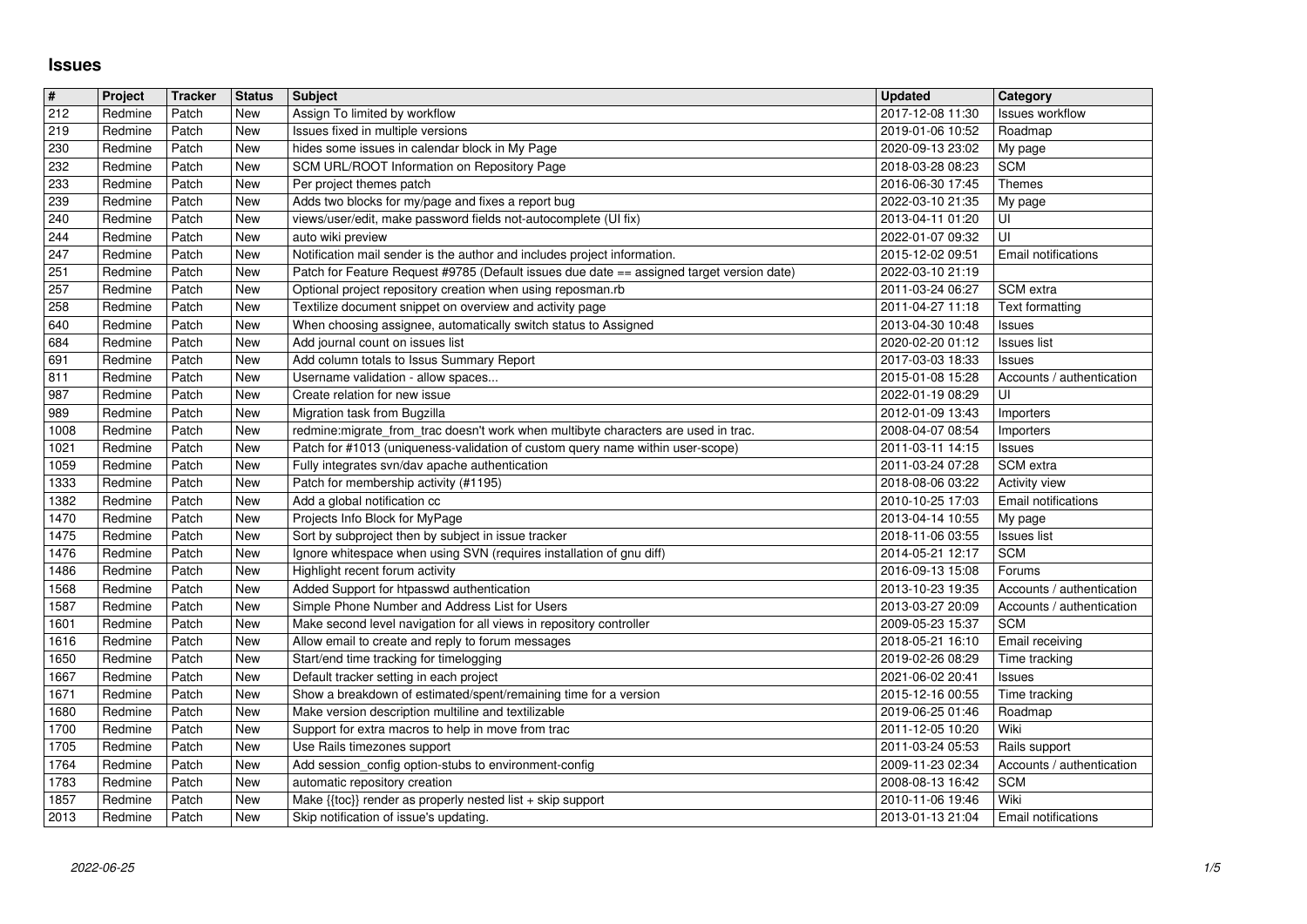## **Issues**

| $\vert \sharp$      | Project            | <b>Tracker</b> | <b>Status</b> | <b>Subject</b>                                                                                                              | <b>Updated</b>                       | Category                                |
|---------------------|--------------------|----------------|---------------|-----------------------------------------------------------------------------------------------------------------------------|--------------------------------------|-----------------------------------------|
| $\overline{212}$    | Redmine            | Patch          | <b>New</b>    | Assign To limited by workflow                                                                                               | 2017-12-08 11:30                     | Issues workflow                         |
| 219<br>230          | Redmine<br>Redmine | Patch<br>Patch | New<br>New    | Issues fixed in multiple versions<br>hides some issues in calendar block in My Page                                         | 2019-01-06 10:52<br>2020-09-13 23:02 | Roadmap<br>My page                      |
| 232                 | Redmine            | Patch          | New           | SCM URL/ROOT Information on Repository Page                                                                                 | 2018-03-28 08:23                     | <b>SCM</b>                              |
| 233                 | Redmine            | Patch          | New           | Per project themes patch                                                                                                    | 2016-06-30 17:45                     | <b>Themes</b>                           |
| 239                 | Redmine            | Patch          | New           | Adds two blocks for my/page and fixes a report bug                                                                          | 2022-03-10 21:35                     | My page                                 |
| 240<br>$\sqrt{244}$ | Redmine<br>Redmine | Patch<br>Patch | New<br>New    | views/user/edit, make password fields not-autocomplete (UI fix)<br>auto wiki preview                                        | 2013-04-11 01:20<br>2022-01-07 09:32 | UI<br>UI                                |
| 247                 | Redmine            | Patch          | <b>New</b>    | Notification mail sender is the author and includes project information.                                                    | 2015-12-02 09:51                     | Email notifications                     |
| 251                 | Redmine            | Patch          | New           | Patch for Feature Request #9785 (Default issues due date == assigned target version date)                                   | 2022-03-10 21:19                     |                                         |
| 257                 | Redmine            | Patch          | New           | Optional project repository creation when using reposman.rb                                                                 | 2011-03-24 06:27                     | SCM extra                               |
| 258<br>640          | Redmine<br>Redmine | Patch<br>Patch | New<br>New    | Textilize document snippet on overview and activity page<br>When choosing assignee, automatically switch status to Assigned | 2011-04-27 11:18<br>2013-04-30 10:48 | Text formatting<br>Issues               |
| 684                 | Redmine            | Patch          | New           | Add journal count on issues list                                                                                            | 2020-02-20 01:12                     | <b>Issues list</b>                      |
| 691                 | Redmine            | Patch          | New           | Add column totals to Issus Summary Report                                                                                   | 2017-03-03 18:33                     | Issues                                  |
| 811<br>987          | Redmine<br>Redmine | Patch<br>Patch | New<br>New    | Username validation - allow spaces<br>Create relation for new issue                                                         | 2015-01-08 15:28<br>2022-01-19 08:29 | Accounts / authentication<br>UI         |
| 989                 | Redmine            | Patch          | New           | Migration task from Bugzilla                                                                                                | 2012-01-09 13:43                     | Importers                               |
| 1008                | Redmine            | Patch          | New           | redmine:migrate_from_trac doesn't work when multibyte characters are used in trac.                                          | 2008-04-07 08:54                     | Importers                               |
| 1021                | Redmine            | Patch          | New           | Patch for #1013 (uniqueness-validation of custom query name within user-scope)                                              | 2011-03-11 14:15                     | Issues                                  |
| 1059<br>1333        | Redmine<br>Redmine | Patch<br>Patch | New<br>New    | Fully integrates svn/dav apache authentication<br>Patch for membership activity (#1195)                                     | 2011-03-24 07:28<br>2018-08-06 03:22 | SCM extra<br>Activity view              |
| 1382                | Redmine            | Patch          | New           | Add a global notification cc                                                                                                | 2010-10-25 17:03                     | <b>Email notifications</b>              |
| 1470                | Redmine            | Patch          | New           | Projects Info Block for MyPage                                                                                              | 2013-04-14 10:55                     | My page                                 |
| 1475<br>1476        | Redmine<br>Redmine | Patch<br>Patch | New<br>New    | Sort by subproject then by subject in issue tracker<br>Ignore whitespace when using SVN (requires installation of gnu diff) | 2018-11-06 03:55                     | <b>Issues list</b><br><b>SCM</b>        |
| 1486                | Redmine            | Patch          | New           | Highlight recent forum activity                                                                                             | 2014-05-21 12:17<br>2016-09-13 15:08 | Forums                                  |
| 1568                | Redmine            | Patch          | New           | Added Support for htpasswd authentication                                                                                   | 2013-10-23 19:35                     | Accounts / authentication               |
| 1587                | Redmine            | Patch          | New           | Simple Phone Number and Address List for Users                                                                              | 2013-03-27 20:09                     | Accounts / authentication               |
| 1601<br>1616        | Redmine<br>Redmine | Patch<br>Patch | New<br>New    | Make second level navigation for all views in repository controller<br>Allow email to create and reply to forum messages    | 2009-05-23 15:37<br>2018-05-21 16:10 | <b>SCM</b><br>Email receiving           |
| 1650                | Redmine            | Patch          | New           | Start/end time tracking for timelogging                                                                                     | 2019-02-26 08:29                     | Time tracking                           |
| 1667                | Redmine            | Patch          | New           | Default tracker setting in each project                                                                                     | 2021-06-02 20:41                     | Issues                                  |
| 1671<br>1680        | Redmine<br>Redmine | Patch<br>Patch | New<br>New    | Show a breakdown of estimated/spent/remaining time for a version<br>Make version description multiline and textilizable     | 2015-12-16 00:55                     | Time tracking<br>Roadmap                |
| 1700                | Redmine            | Patch          | New           | Support for extra macros to help in move from trac                                                                          | 2019-06-25 01:46<br>2011-12-05 10:20 | Wiki                                    |
| 1705                | Redmine            | Patch          | New           | Use Rails timezones support                                                                                                 | 2011-03-24 05:53                     | Rails support                           |
| 1764                | Redmine<br>Redmine | Patch<br>Patch | New<br>New    | Add session_config option-stubs to environment-config                                                                       | 2009-11-23 02:34                     | Accounts / authentication<br><b>SCM</b> |
| 1783<br>1857        | Redmine            | Patch          | New           | automatic repository creation<br>Make $\{\text{toc}\}\$ render as properly nested list + skip support                       | 2008-08-13 16:42<br>2010-11-06 19:46 | Wiki                                    |
| 2013                | Redmine            | Patch          | New           | Skip notification of issue's updating.                                                                                      | 2013-01-13 21:04                     | Email notifications                     |
|                     |                    |                |               |                                                                                                                             |                                      |                                         |
|                     |                    |                |               |                                                                                                                             |                                      |                                         |
|                     |                    |                |               |                                                                                                                             |                                      |                                         |
|                     |                    |                |               |                                                                                                                             |                                      |                                         |
|                     |                    |                |               |                                                                                                                             |                                      |                                         |
|                     |                    |                |               |                                                                                                                             |                                      |                                         |
|                     |                    |                |               |                                                                                                                             |                                      |                                         |
|                     |                    |                |               |                                                                                                                             |                                      |                                         |
|                     |                    |                |               |                                                                                                                             |                                      |                                         |
|                     |                    |                |               |                                                                                                                             |                                      |                                         |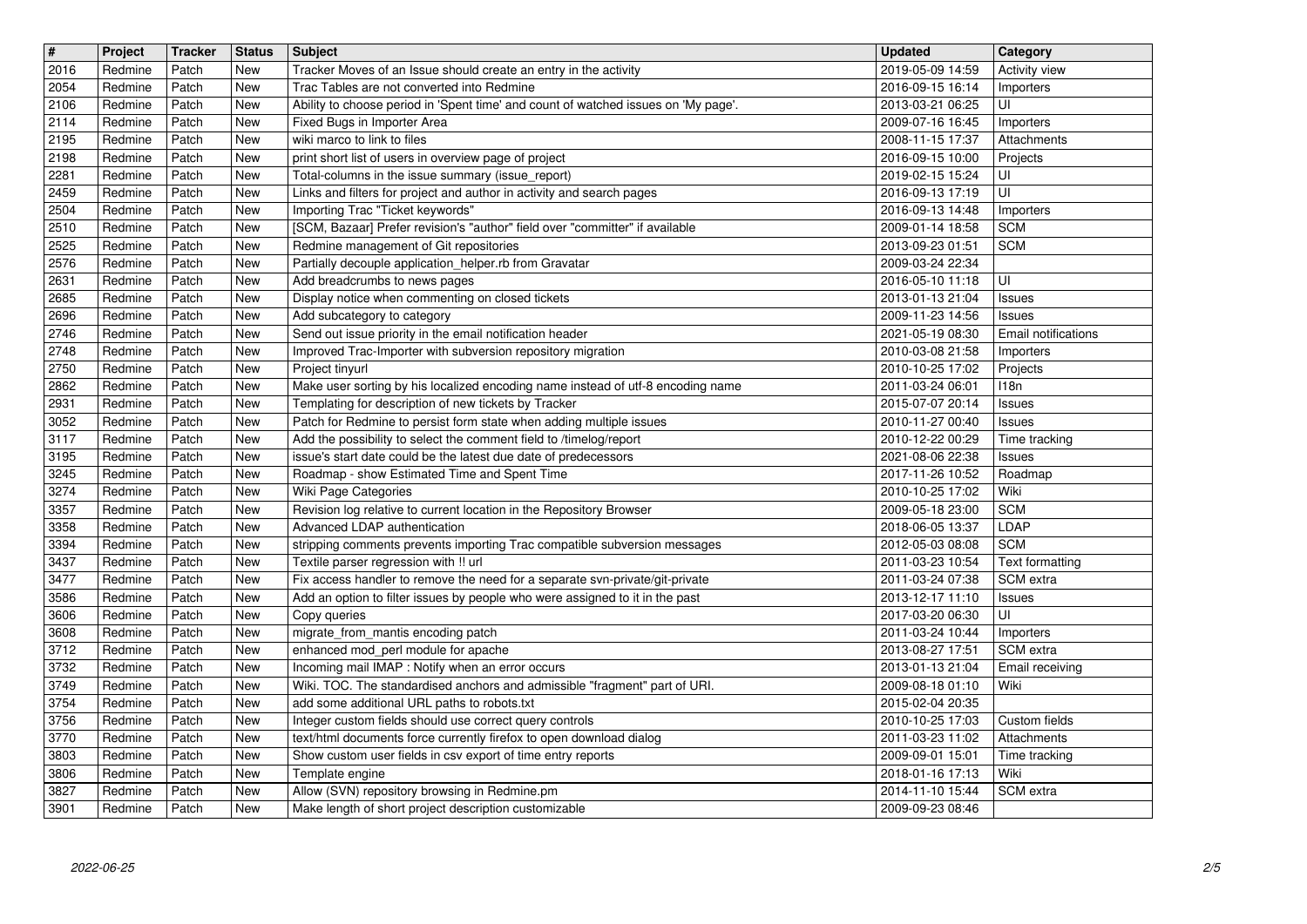| $\sqrt{t}$<br>2016 | Project<br>Redmine | Tracker<br>Patch | <b>Status</b><br>New | <b>Subject</b><br>Tracker Moves of an Issue should create an entry in the activity                                                                           | <b>Updated</b><br>2019-05-09 14:59                 | Category<br>Activity view      |
|--------------------|--------------------|------------------|----------------------|--------------------------------------------------------------------------------------------------------------------------------------------------------------|----------------------------------------------------|--------------------------------|
| 2054               | Redmine            | Patch            | <b>New</b>           | Trac Tables are not converted into Redmine                                                                                                                   | 2016-09-15 16:14                                   | Importers                      |
| 2106<br>2114       | Redmine<br>Redmine | Patch<br>Patch   | New<br>New           | Ability to choose period in 'Spent time' and count of watched issues on 'My page'.<br>Fixed Bugs in Importer Area                                            | 2013-03-21 06:25<br>2009-07-16 16:45               | UI<br>Importers                |
| 2195               | Redmine            | Patch            | New                  | wiki marco to link to files                                                                                                                                  | 2008-11-15 17:37                                   | Attachments                    |
| 2198<br>2281       | Redmine<br>Redmine | Patch<br>Patch   | New<br>New           | print short list of users in overview page of project<br>Total-columns in the issue summary (issue_report)                                                   | 2016-09-15 10:00<br>2019-02-15 15:24               | Projects<br>UI                 |
| 2459               | Redmine            | Patch            | New                  | Links and filters for project and author in activity and search pages                                                                                        | 2016-09-13 17:19<br>2016-09-13 14:48               | UI                             |
| 2504<br>2510       | Redmine<br>Redmine | Patch<br>Patch   | New<br>New           | Importing Trac "Ticket keywords"<br>[SCM, Bazaar] Prefer revision's "author" field over "committer" if available                                             | 2009-01-14 18:58                                   | Importers<br><b>SCM</b>        |
| 2525<br>2576       | Redmine<br>Redmine | Patch<br>Patch   | New<br>New           | Redmine management of Git repositories<br>Partially decouple application_helper.rb from Gravatar                                                             | 2013-09-23 01:51<br>2009-03-24 22:34               | <b>SCM</b>                     |
| 2631               | Redmine            | Patch            | New                  | Add breadcrumbs to news pages                                                                                                                                | 2016-05-10 11:18                                   | UI                             |
| 2685<br>2696       | Redmine<br>Redmine | Patch<br>Patch   | New<br>New           | Display notice when commenting on closed tickets<br>Add subcategory to category                                                                              | 2013-01-13 21:04<br>2009-11-23 14:56               | <b>Issues</b><br><b>Issues</b> |
| 2746               | Redmine            | Patch            | New                  | Send out issue priority in the email notification header                                                                                                     | 2021-05-19 08:30                                   | Email notifications            |
| 2748<br>2750       | Redmine<br>Redmine | Patch<br>Patch   | New<br>New           | Improved Trac-Importer with subversion repository migration<br>Project tinyurl                                                                               | 2010-03-08 21:58<br>2010-10-25 17:02               | Importers<br>Projects          |
| 2862<br>2931       | Redmine<br>Redmine | Patch<br>Patch   | New<br>New           | Make user sorting by his localized encoding name instead of utf-8 encoding name<br>Templating for description of new tickets by Tracker                      | 2011-03-24 06:01<br>2015-07-07 20:14               | 118n<br><b>Issues</b>          |
| 3052               | Redmine            | Patch            | New                  | Patch for Redmine to persist form state when adding multiple issues                                                                                          | 2010-11-27 00:40                                   | <b>Issues</b>                  |
| 3117<br>3195       | Redmine<br>Redmine | Patch<br>Patch   | New<br>New           | Add the possibility to select the comment field to /timelog/report<br>issue's start date could be the latest due date of predecessors                        | 2010-12-22 00:29<br>2021-08-06 22:38               | Time tracking<br><b>Issues</b> |
| 3245               | Redmine            | Patch            | New                  | Roadmap - show Estimated Time and Spent Time                                                                                                                 | 2017-11-26 10:52                                   | Roadmap                        |
| 3274<br>3357       | Redmine<br>Redmine | Patch<br>Patch   | New<br>New           | Wiki Page Categories<br>Revision log relative to current location in the Repository Browser                                                                  | 2010-10-25 17:02<br>2009-05-18 23:00               | Wiki<br><b>SCM</b>             |
| 3358               | Redmine<br>Redmine | Patch<br>Patch   | New                  | Advanced LDAP authentication                                                                                                                                 | 2018-06-05 13:37                                   | LDAP<br><b>SCM</b>             |
| 3394<br>3437       | Redmine            | Patch            | New<br>New           | stripping comments prevents importing Trac compatible subversion messages<br>Textile parser regression with !! url                                           | 2012-05-03 08:08<br>2011-03-23 10:54               | Text formatting                |
| 3477<br>3586       | Redmine<br>Redmine | Patch<br>Patch   | New<br>New           | Fix access handler to remove the need for a separate svn-private/git-private<br>Add an option to filter issues by people who were assigned to it in the past | 2011-03-24 07:38<br>2013-12-17 11:10               | SCM extra<br><b>Issues</b>     |
| 3606               | Redmine            | Patch            | New                  | Copy queries                                                                                                                                                 | 2017-03-20 06:30                                   | UI                             |
| 3608<br>3712       | Redmine<br>Redmine | Patch<br>Patch   | New<br>New           | migrate_from_mantis encoding patch<br>enhanced mod_perl module for apache                                                                                    | 2011-03-24 10:44<br>2013-08-27 17:51               | Importers<br>SCM extra         |
| 3732               | Redmine            | Patch            | New                  | Incoming mail IMAP : Notify when an error occurs                                                                                                             | 2013-01-13 21:04                                   | Email receiving                |
| 3749<br>3754       | Redmine<br>Redmine | Patch<br>Patch   | New<br>New           | Wiki. TOC. The standardised anchors and admissible "fragment" part of URI.<br>add some additional URL paths to robots.txt                                    | 2009-08-18 01:10<br>2015-02-04 20:35               | Wiki                           |
| 3756<br>$3770$     | Redmine<br>Redmine | Patch<br>Patch   | New<br>New           | Integer custom fields should use correct query controls<br>text/html documents force currently firefox to open download dialog                               | 2010-10-25 17:03<br>2011-03-23 11:02   Attachments | Custom fields                  |
| 3803               | Redmine            | Patch            | New                  | Show custom user fields in csv export of time entry reports                                                                                                  | 2009-09-01 15:01                                   | Time tracking                  |
| 3806<br>3827       | Redmine<br>Redmine | Patch<br>Patch   | New<br>New           | Template engine<br>Allow (SVN) repository browsing in Redmine.pm                                                                                             | 2018-01-16 17:13<br>2014-11-10 15:44               | Wiki<br>SCM extra              |
| 3901               | Redmine            | Patch            | New                  | Make length of short project description customizable                                                                                                        | 2009-09-23 08:46                                   |                                |
|                    |                    |                  |                      |                                                                                                                                                              |                                                    |                                |
|                    |                    |                  |                      |                                                                                                                                                              |                                                    |                                |
|                    |                    |                  |                      |                                                                                                                                                              |                                                    |                                |
|                    |                    |                  |                      |                                                                                                                                                              |                                                    |                                |
|                    |                    |                  |                      |                                                                                                                                                              |                                                    |                                |
|                    |                    |                  |                      |                                                                                                                                                              |                                                    |                                |
|                    |                    |                  |                      |                                                                                                                                                              |                                                    |                                |
|                    |                    |                  |                      |                                                                                                                                                              |                                                    |                                |
|                    |                    |                  |                      |                                                                                                                                                              |                                                    |                                |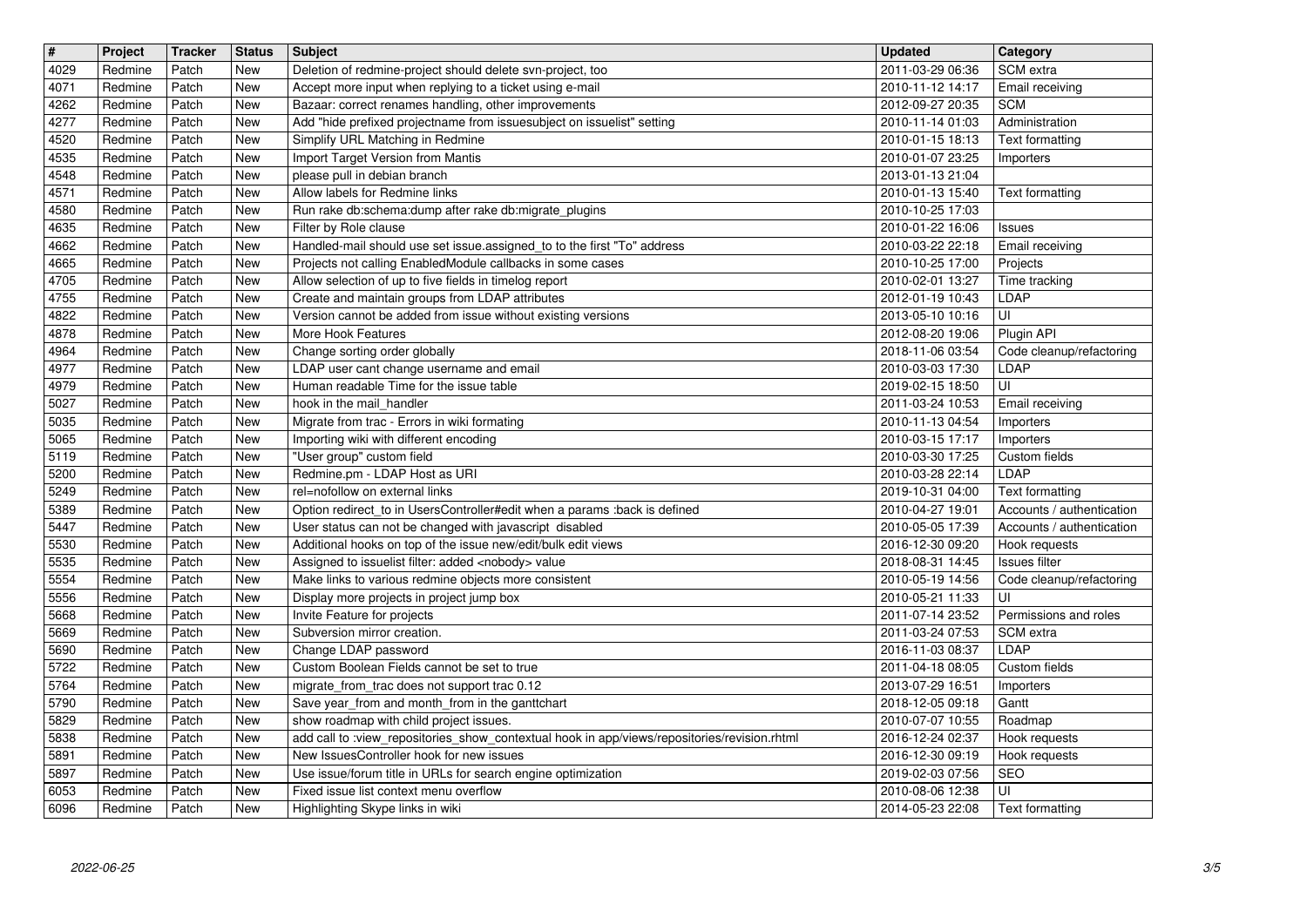| $\sqrt{t}$<br>4029 | Project<br>Redmine | <b>Tracker</b><br>Patch | <b>Status</b><br>New | <b>Subject</b><br>Deletion of redmine-project should delete svn-project, too                                                             | <b>Updated</b><br>2011-03-29 06:36   | Category<br>SCM extra                                  |
|--------------------|--------------------|-------------------------|----------------------|------------------------------------------------------------------------------------------------------------------------------------------|--------------------------------------|--------------------------------------------------------|
| 4071               | Redmine            | Patch                   | New                  | Accept more input when replying to a ticket using e-mail                                                                                 | 2010-11-12 14:17                     | Email receiving                                        |
| 4262<br>4277       | Redmine<br>Redmine | Patch<br>Patch          | New<br>New           | Bazaar: correct renames handling, other improvements<br>Add "hide prefixed projectname from issuesubject on issuelist" setting           | 2012-09-27 20:35<br>2010-11-14 01:03 | <b>SCM</b><br>Administration                           |
| 4520               | Redmine            | Patch                   | New                  | Simplify URL Matching in Redmine                                                                                                         | 2010-01-15 18:13                     | Text formatting                                        |
| 4535<br>4548       | Redmine<br>Redmine | Patch<br>Patch          | New<br>New           | Import Target Version from Mantis<br>please pull in debian branch                                                                        | 2010-01-07 23:25<br>2013-01-13 21:04 | Importers                                              |
| 4571<br>4580       | Redmine<br>Redmine | Patch<br>Patch          | New<br>New           | Allow labels for Redmine links<br>Run rake db:schema:dump after rake db:migrate_plugins                                                  | 2010-01-13 15:40<br>2010-10-25 17:03 | Text formatting                                        |
| 4635               | Redmine            | Patch                   | New                  | Filter by Role clause                                                                                                                    | 2010-01-22 16:06                     | <b>Issues</b>                                          |
| 4662<br>4665       | Redmine<br>Redmine | Patch<br>Patch          | New<br>New           | Handled-mail should use set issue assigned_to to the first "To" address<br>Projects not calling EnabledModule callbacks in some cases    | 2010-03-22 22:18<br>2010-10-25 17:00 | Email receiving<br>Projects                            |
| 4705               | Redmine            | Patch                   | New                  | Allow selection of up to five fields in timelog report                                                                                   | 2010-02-01 13:27                     | Time tracking                                          |
| 4755<br>4822       | Redmine<br>Redmine | Patch<br>Patch          | New<br>New           | Create and maintain groups from LDAP attributes<br>Version cannot be added from issue without existing versions                          | 2012-01-19 10:43<br>2013-05-10 10:16 | LDAP<br>UI                                             |
| 4878<br>4964       | Redmine<br>Redmine | Patch<br>Patch          | New<br>New           | More Hook Features<br>Change sorting order globally                                                                                      | 2012-08-20 19:06<br>2018-11-06 03:54 | Plugin API<br>Code cleanup/refactoring                 |
| 4977               | Redmine            | Patch                   | New                  | LDAP user cant change username and email                                                                                                 | 2010-03-03 17:30                     | LDAP                                                   |
| 4979<br>5027       | Redmine<br>Redmine | Patch<br>Patch          | New<br>New           | Human readable Time for the issue table<br>hook in the mail_handler                                                                      | 2019-02-15 18:50<br>2011-03-24 10:53 | UI<br>Email receiving                                  |
| 5035<br>5065       | Redmine<br>Redmine | Patch<br>Patch          | New<br>New           | Migrate from trac - Errors in wiki formating<br>Importing wiki with different encoding                                                   | 2010-11-13 04:54<br>2010-03-15 17:17 | Importers<br>Importers                                 |
| 5119               | Redmine            | Patch                   | New                  | "User group" custom field                                                                                                                | 2010-03-30 17:25                     | Custom fields                                          |
| 5200<br>5249       | Redmine<br>Redmine | Patch<br>Patch          | New<br>New           | Redmine.pm - LDAP Host as URI<br>rel=nofollow on external links                                                                          | 2010-03-28 22:14<br>2019-10-31 04:00 | <b>LDAP</b><br>Text formatting                         |
| 5389<br>5447       | Redmine<br>Redmine | Patch<br>Patch          | New<br>New           | Option redirect_to in UsersController#edit when a params :back is defined<br>User status can not be changed with javascript disabled     | 2010-04-27 19:01<br>2010-05-05 17:39 | Accounts / authentication<br>Accounts / authentication |
| 5530               | Redmine            | Patch                   | New                  | Additional hooks on top of the issue new/edit/bulk edit views                                                                            | 2016-12-30 09:20                     | Hook requests                                          |
| 5535<br>5554       | Redmine<br>Redmine | Patch<br>Patch          | New<br>New           | Assigned to issuelist filter: added <nobody> value<br/>Make links to various redmine objects more consistent</nobody>                    | 2018-08-31 14:45<br>2010-05-19 14:56 | Issues filter<br>Code cleanup/refactoring              |
| 5556<br>5668       | Redmine<br>Redmine | Patch<br>Patch          | New<br>New           | Display more projects in project jump box<br>Invite Feature for projects                                                                 | 2010-05-21 11:33<br>2011-07-14 23:52 | UI<br>Permissions and roles                            |
| 5669               | Redmine            | Patch                   | New                  | Subversion mirror creation.                                                                                                              | 2011-03-24 07:53                     | SCM extra                                              |
| 5690<br>5722       | Redmine<br>Redmine | Patch<br>Patch          | New<br>New           | Change LDAP password<br>Custom Boolean Fields cannot be set to true                                                                      | 2016-11-03 08:37<br>2011-04-18 08:05 | LDAP<br>Custom fields                                  |
| 5764               | Redmine            | Patch                   | New                  | migrate_from_trac does not support trac 0.12                                                                                             | 2013-07-29 16:51                     | Importers                                              |
| 5790<br>5829       | Redmine<br>Redmine | Patch<br>Patch          | New<br>New           | Save year_from and month_from in the ganttchart<br>show roadmap with child project issues.                                               | 2018-12-05 09:18<br>2010-07-07 10:55 | Gantt<br>Roadmap                                       |
| 5838<br>5891       | Redmine<br>Redmine | Patch<br>Patch          | <b>New</b><br>New    | add call to :view_repositories_show_contextual hook in app/views/repositories/revision.rhtml<br>New IssuesController hook for new issues | 2016-12-24 02:37<br>2016-12-30 09:19 | Hook requests<br>Hook requests                         |
| 5897               | Redmine            | Patch                   | New                  | Use issue/forum title in URLs for search engine optimization                                                                             | 2019-02-03 07:56                     | SEO                                                    |
| 6053<br>6096       | Redmine<br>Redmine | Patch<br>Patch          | New<br>New           | Fixed issue list context menu overflow<br>Highlighting Skype links in wiki                                                               | 2010-08-06 12:38<br>2014-05-23 22:08 | UI<br>Text formatting                                  |
|                    |                    |                         |                      |                                                                                                                                          |                                      |                                                        |
|                    |                    |                         |                      |                                                                                                                                          |                                      |                                                        |
|                    |                    |                         |                      |                                                                                                                                          |                                      |                                                        |
|                    |                    |                         |                      |                                                                                                                                          |                                      |                                                        |
|                    |                    |                         |                      |                                                                                                                                          |                                      |                                                        |
|                    |                    |                         |                      |                                                                                                                                          |                                      |                                                        |
|                    |                    |                         |                      |                                                                                                                                          |                                      |                                                        |
|                    |                    |                         |                      |                                                                                                                                          |                                      |                                                        |
|                    |                    |                         |                      |                                                                                                                                          |                                      |                                                        |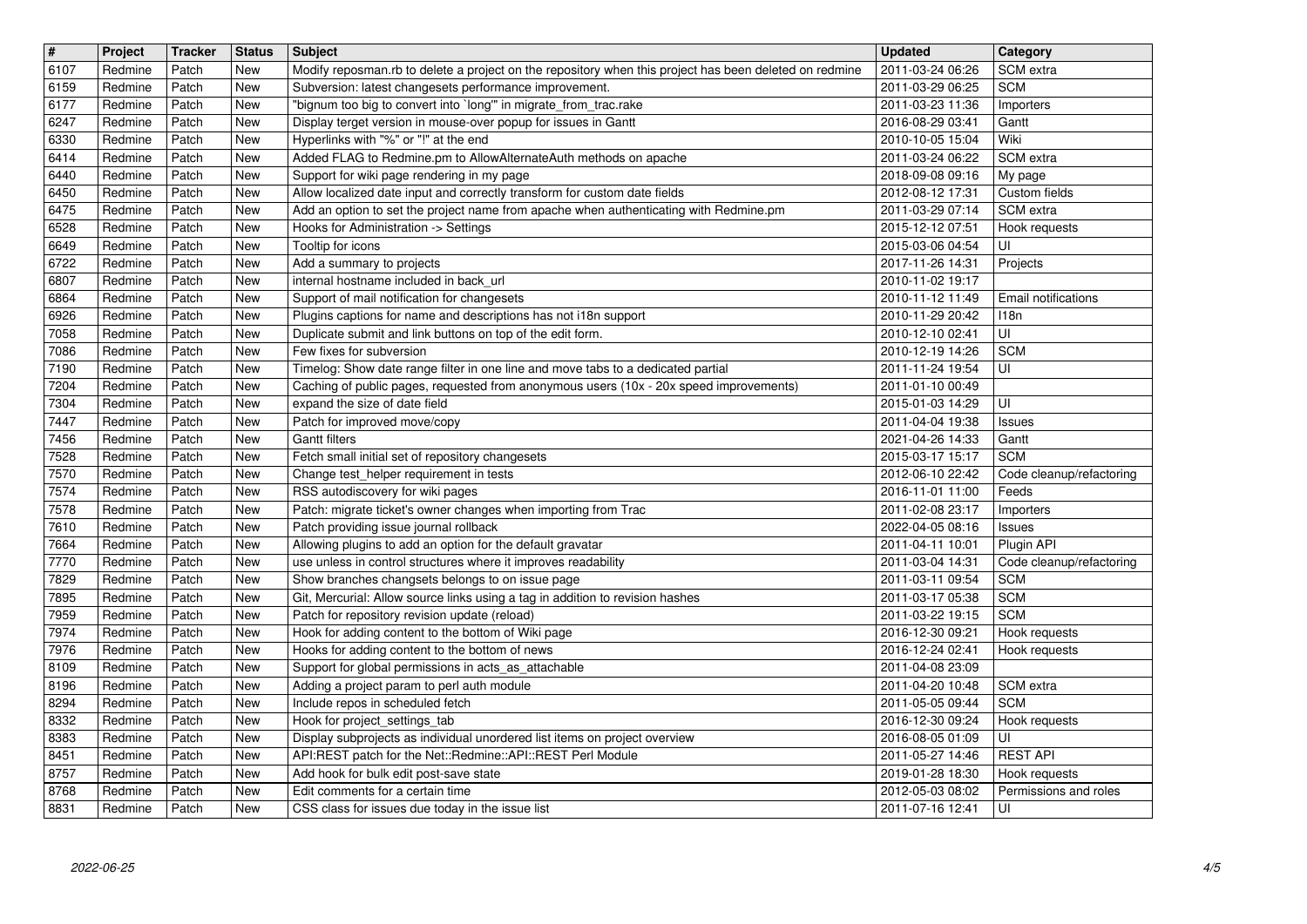| $\overline{\mathbf{H}}$<br>6107 | Project<br>Redmine | <b>Tracker</b><br>Patch | <b>Status</b><br>New | <b>Subject</b><br>Modify reposman.rb to delete a project on the repository when this project has been deleted on redmine                                                   | <b>Updated</b><br>2011-03-24 06:26   | Category<br>SCM extra                               |
|---------------------------------|--------------------|-------------------------|----------------------|----------------------------------------------------------------------------------------------------------------------------------------------------------------------------|--------------------------------------|-----------------------------------------------------|
| 6159                            | Redmine            | Patch                   | New                  | Subversion: latest changesets performance improvement.                                                                                                                     | 2011-03-29 06:25                     | <b>SCM</b>                                          |
| 6177<br>6247                    | Redmine<br>Redmine | Patch<br>Patch          | New<br>New           | "bignum too big to convert into `long'" in migrate_from_trac.rake<br>Display terget version in mouse-over popup for issues in Gantt                                        | 2011-03-23 11:36<br>2016-08-29 03:41 | Importers<br>Gantt                                  |
| 6330                            | Redmine            | Patch                   | New                  | Hyperlinks with "%" or "!" at the end                                                                                                                                      | 2010-10-05 15:04                     | Wiki                                                |
| 6414<br>6440                    | Redmine<br>Redmine | Patch<br>Patch          | New<br>New           | Added FLAG to Redmine.pm to AllowAlternateAuth methods on apache<br>Support for wiki page rendering in my page                                                             | 2011-03-24 06:22<br>2018-09-08 09:16 | SCM extra<br>My page                                |
| 6450                            | Redmine            | Patch                   | New                  | Allow localized date input and correctly transform for custom date fields                                                                                                  | 2012-08-12 17:31                     | Custom fields                                       |
| 6475<br>6528                    | Redmine<br>Redmine | Patch<br>Patch          | New<br>New           | Add an option to set the project name from apache when authenticating with Redmine.pm<br>Hooks for Administration -> Settings                                              | 2011-03-29 07:14<br>2015-12-12 07:51 | SCM extra<br>Hook requests                          |
| 6649                            | Redmine            | Patch                   | New                  | Tooltip for icons                                                                                                                                                          | 2015-03-06 04:54                     | UI                                                  |
| 6722<br>6807                    | Redmine<br>Redmine | Patch<br>Patch          | New<br>New           | Add a summary to projects<br>internal hostname included in back_url                                                                                                        | 2017-11-26 14:31<br>2010-11-02 19:17 | Projects                                            |
| 6864                            | Redmine            | Patch                   | New                  | Support of mail notification for changesets                                                                                                                                | 2010-11-12 11:49                     | Email notifications                                 |
| 6926<br>7058                    | Redmine<br>Redmine | Patch<br>Patch          | New<br>New           | Plugins captions for name and descriptions has not i18n support<br>Duplicate submit and link buttons on top of the edit form.                                              | 2010-11-29 20:42<br>2010-12-10 02:41 | 118n<br>UI                                          |
| 7086                            | Redmine            | Patch                   | New                  | Few fixes for subversion                                                                                                                                                   | 2010-12-19 14:26                     | <b>SCM</b>                                          |
| 7190<br>7204                    | Redmine<br>Redmine | Patch<br>Patch          | New<br>New           | Timelog: Show date range filter in one line and move tabs to a dedicated partial<br>Caching of public pages, requested from anonymous users (10x - 20x speed improvements) | 2011-11-24 19:54<br>2011-01-10 00:49 | UI                                                  |
| 7304                            | Redmine            | Patch                   | New                  | expand the size of date field                                                                                                                                              | 2015-01-03 14:29                     | UI                                                  |
| 7447<br>7456                    | Redmine<br>Redmine | Patch<br>Patch          | New<br>New           | Patch for improved move/copy<br><b>Gantt filters</b>                                                                                                                       | 2011-04-04 19:38<br>2021-04-26 14:33 | Issues<br>Gantt                                     |
| 7528                            | Redmine            | Patch                   | New                  | Fetch small initial set of repository changesets                                                                                                                           | 2015-03-17 15:17                     | <b>SCM</b>                                          |
| 7570<br>7574                    | Redmine<br>Redmine | Patch<br>Patch          | New<br>New           | Change test helper requirement in tests<br>RSS autodiscovery for wiki pages                                                                                                | 2012-06-10 22:42<br>2016-11-01 11:00 | Code cleanup/refactoring<br>Feeds                   |
| 7578                            | Redmine            | Patch                   | New                  | Patch: migrate ticket's owner changes when importing from Trac                                                                                                             | 2011-02-08 23:17                     | Importers                                           |
| 7610<br>7664                    | Redmine<br>Redmine | Patch<br>Patch          | New<br>New           | Patch providing issue journal rollback<br>Allowing plugins to add an option for the default gravatar                                                                       | 2022-04-05 08:16<br>2011-04-11 10:01 | Issues<br>Plugin API                                |
| 7770                            | Redmine            | Patch                   | New                  | use unless in control structures where it improves readability                                                                                                             | 2011-03-04 14:31                     | Code cleanup/refactoring                            |
| 7829<br>7895                    | Redmine<br>Redmine | Patch<br>Patch          | New<br>New           | Show branches changsets belongs to on issue page<br>Git, Mercurial: Allow source links using a tag in addition to revision hashes                                          | 2011-03-11 09:54<br>2011-03-17 05:38 | <b>SCM</b><br><b>SCM</b>                            |
| 7959                            | Redmine            | Patch                   | New                  | Patch for repository revision update (reload)                                                                                                                              | 2011-03-22 19:15                     | <b>SCM</b>                                          |
| 7974<br>7976                    | Redmine<br>Redmine | Patch<br>Patch          | New<br>New           | Hook for adding content to the bottom of Wiki page<br>Hooks for adding content to the bottom of news                                                                       | 2016-12-30 09:21<br>2016-12-24 02:41 | Hook requests<br>Hook requests                      |
| 8109                            | Redmine            | Patch                   | New                  | Support for global permissions in acts_as_attachable                                                                                                                       | 2011-04-08 23:09                     |                                                     |
| 8196<br>8294                    | Redmine<br>Redmine | Patch<br>Patch          | New<br>New           | Adding a project param to perl auth module<br>Include repos in scheduled fetch                                                                                             | 2011-04-20 10:48<br>2011-05-05 09:44 | SCM extra<br><b>SCM</b>                             |
| 8332                            | Redmine            | Patch                   | New<br>New           | Hook for project_settings_tab                                                                                                                                              | 2016-12-30 09:24                     | Hook requests<br>$\overline{\overline{\mathsf{u}}}$ |
| 8383<br>8451                    | Redmine<br>Redmine | Patch<br>Patch          | New                  | Display subprojects as individual unordered list items on project overview<br>API:REST patch for the Net::Redmine::API::REST Perl Module                                   | 2016-08-05 01:09<br>2011-05-27 14:46 | <b>REST API</b>                                     |
| 8757                            | Redmine            | Patch                   | New                  | Add hook for bulk edit post-save state<br>Edit comments for a certain time                                                                                                 | 2019-01-28 18:30<br>2012-05-03 08:02 | Hook requests                                       |
| 8768<br>8831                    | Redmine<br>Redmine | Patch<br>Patch          | New<br>New           | CSS class for issues due today in the issue list                                                                                                                           | 2011-07-16 12:41                     | Permissions and roles<br>UI                         |
|                                 |                    |                         |                      |                                                                                                                                                                            |                                      |                                                     |
|                                 |                    |                         |                      |                                                                                                                                                                            |                                      |                                                     |
|                                 |                    |                         |                      |                                                                                                                                                                            |                                      |                                                     |
|                                 |                    |                         |                      |                                                                                                                                                                            |                                      |                                                     |
|                                 |                    |                         |                      |                                                                                                                                                                            |                                      |                                                     |
|                                 |                    |                         |                      |                                                                                                                                                                            |                                      |                                                     |
|                                 |                    |                         |                      |                                                                                                                                                                            |                                      |                                                     |
|                                 |                    |                         |                      |                                                                                                                                                                            |                                      |                                                     |
|                                 |                    |                         |                      |                                                                                                                                                                            |                                      |                                                     |